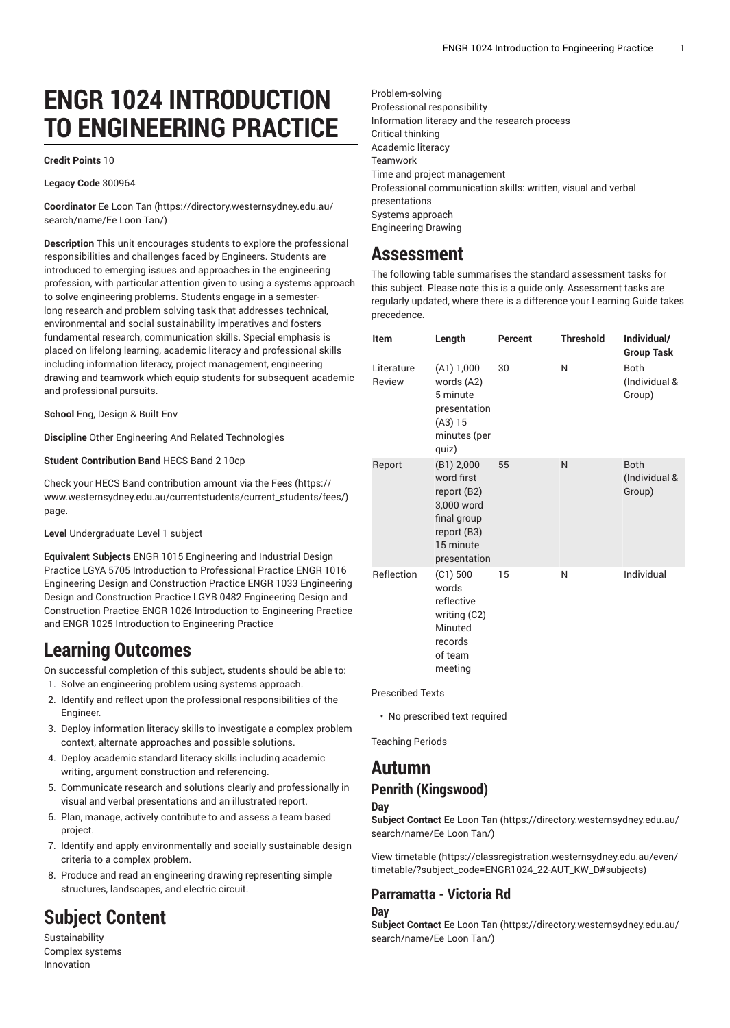# **ENGR 1024 INTRODUCTION TO ENGINEERING PRACTICE**

#### **Credit Points** 10

#### **Legacy Code** 300964

**Coordinator** Ee [Loon](https://directory.westernsydney.edu.au/search/name/Ee Loon Tan/) Tan [\(https://directory.westernsydney.edu.au/](https://directory.westernsydney.edu.au/search/name/Ee Loon Tan/) [search/name/Ee](https://directory.westernsydney.edu.au/search/name/Ee Loon Tan/) Loon Tan/)

**Description** This unit encourages students to explore the professional responsibilities and challenges faced by Engineers. Students are introduced to emerging issues and approaches in the engineering profession, with particular attention given to using a systems approach to solve engineering problems. Students engage in a semesterlong research and problem solving task that addresses technical, environmental and social sustainability imperatives and fosters fundamental research, communication skills. Special emphasis is placed on lifelong learning, academic literacy and professional skills including information literacy, project management, engineering drawing and teamwork which equip students for subsequent academic and professional pursuits.

**School** Eng, Design & Built Env

**Discipline** Other Engineering And Related Technologies

**Student Contribution Band** HECS Band 2 10cp

Check your HECS Band contribution amount via the [Fees \(https://](https://www.westernsydney.edu.au/currentstudents/current_students/fees/) [www.westernsydney.edu.au/currentstudents/current\\_students/fees/\)](https://www.westernsydney.edu.au/currentstudents/current_students/fees/) page.

**Level** Undergraduate Level 1 subject

**Equivalent Subjects** ENGR 1015 Engineering and Industrial Design Practice LGYA 5705 Introduction to Professional Practice ENGR 1016 Engineering Design and Construction Practice ENGR 1033 Engineering Design and Construction Practice LGYB 0482 Engineering Design and Construction Practice [ENGR 1026](/search/?P=ENGR%201026) Introduction to Engineering Practice and [ENGR 1025](/search/?P=ENGR%201025) Introduction to Engineering Practice

## **Learning Outcomes**

On successful completion of this subject, students should be able to:

- 1. Solve an engineering problem using systems approach.
- 2. Identify and reflect upon the professional responsibilities of the Engineer.
- 3. Deploy information literacy skills to investigate a complex problem context, alternate approaches and possible solutions.
- 4. Deploy academic standard literacy skills including academic writing, argument construction and referencing.
- 5. Communicate research and solutions clearly and professionally in visual and verbal presentations and an illustrated report.
- 6. Plan, manage, actively contribute to and assess a team based project.
- 7. Identify and apply environmentally and socially sustainable design criteria to a complex problem.
- 8. Produce and read an engineering drawing representing simple structures, landscapes, and electric circuit.

## **Subject Content**

Sustainability Complex systems Innovation

Problem-solving Professional responsibility Information literacy and the research process Critical thinking Academic literacy Teamwork Time and project management Professional communication skills: written, visual and verbal presentations Systems approach Engineering Drawing

## **Assessment**

The following table summarises the standard assessment tasks for this subject. Please note this is a guide only. Assessment tasks are regularly updated, where there is a difference your Learning Guide takes precedence.

| <b>Item</b>          | Length                                                                                                           | Percent | <b>Threshold</b> | Individual/<br><b>Group Task</b>       |
|----------------------|------------------------------------------------------------------------------------------------------------------|---------|------------------|----------------------------------------|
| Literature<br>Review | (A1) 1,000<br>words (A2)<br>5 minute<br>presentation<br>(A3) 15<br>minutes (per<br>quiz)                         | 30      | N                | <b>Both</b><br>(Individual &<br>Group) |
| Report               | (B1) 2,000<br>word first<br>report (B2)<br>3,000 word<br>final group<br>report (B3)<br>15 minute<br>presentation | 55      | N                | <b>Both</b><br>(Individual &<br>Group) |
| Reflection           | $(C1)$ 500<br>words<br>reflective<br>writing (C2)<br>Minuted<br>records<br>of team<br>meeting                    | 15      | N                | Individual                             |

Prescribed Texts

• No prescribed text required

Teaching Periods

### **Autumn**

### **Penrith (Kingswood)**

**Day**

**Subject Contact** Ee [Loon](https://directory.westernsydney.edu.au/search/name/Ee Loon Tan/) Tan [\(https://directory.westernsydney.edu.au/](https://directory.westernsydney.edu.au/search/name/Ee Loon Tan/) [search/name/Ee](https://directory.westernsydney.edu.au/search/name/Ee Loon Tan/) Loon Tan/)

[View timetable](https://classregistration.westernsydney.edu.au/even/timetable/?subject_code=ENGR1024_22-AUT_KW_D#subjects) [\(https://classregistration.westernsydney.edu.au/even/](https://classregistration.westernsydney.edu.au/even/timetable/?subject_code=ENGR1024_22-AUT_KW_D#subjects) [timetable/?subject\\_code=ENGR1024\\_22-AUT\\_KW\\_D#subjects](https://classregistration.westernsydney.edu.au/even/timetable/?subject_code=ENGR1024_22-AUT_KW_D#subjects))

### **Parramatta - Victoria Rd**

#### **Day**

**Subject Contact** Ee [Loon](https://directory.westernsydney.edu.au/search/name/Ee Loon Tan/) Tan [\(https://directory.westernsydney.edu.au/](https://directory.westernsydney.edu.au/search/name/Ee Loon Tan/) [search/name/Ee](https://directory.westernsydney.edu.au/search/name/Ee Loon Tan/) Loon Tan/)